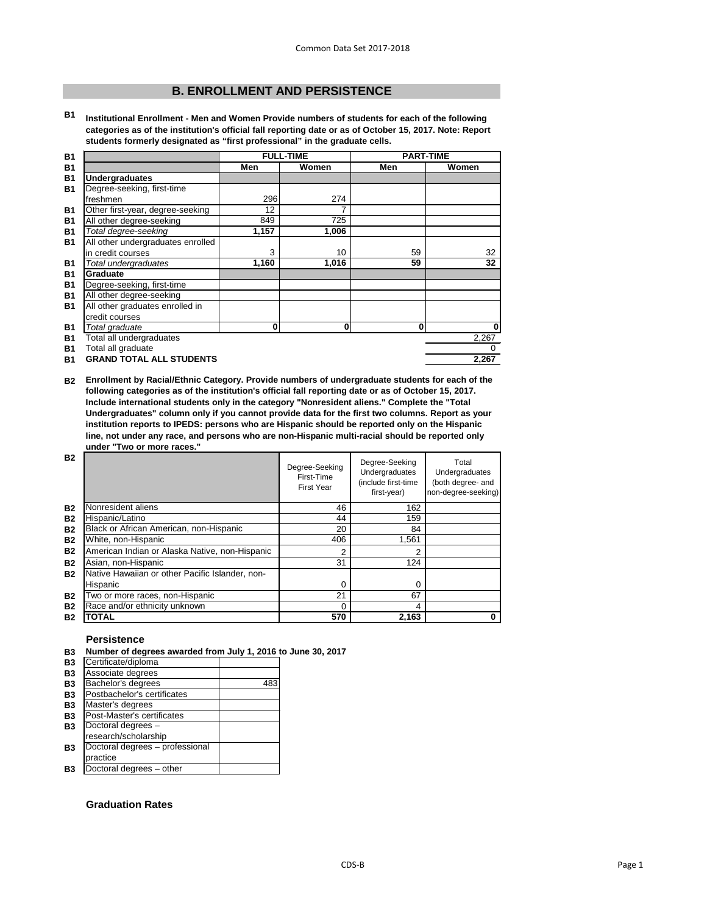# **B. ENROLLMENT AND PERSISTENCE**

**B1 Institutional Enrollment - Men and Women Provide numbers of students for each of the following categories as of the institution's official fall reporting date or as of October 15, 2017. Note: Report students formerly designated as "first professional" in the graduate cells.**

| <b>B1</b> |                                   |       | <b>FULL-TIME</b> |              | <b>PART-TIME</b> |
|-----------|-----------------------------------|-------|------------------|--------------|------------------|
| <b>B1</b> |                                   | Men   | Women            | Men          | Women            |
| <b>B1</b> | <b>Undergraduates</b>             |       |                  |              |                  |
| <b>B1</b> | Degree-seeking, first-time        |       |                  |              |                  |
|           | freshmen                          | 296   | 274              |              |                  |
| <b>B1</b> | Other first-year, degree-seeking  | 12    |                  |              |                  |
| <b>B1</b> | All other degree-seeking          | 849   | 725              |              |                  |
| <b>B1</b> | Total degree-seeking              | 1,157 | 1,006            |              |                  |
| <b>B1</b> | All other undergraduates enrolled |       |                  |              |                  |
|           | in credit courses                 | 3     | 10               | 59           | 32               |
| <b>B1</b> | Total undergraduates              | 1,160 | 1,016            | 59           | 32               |
| <b>B1</b> | <b>Graduate</b>                   |       |                  |              |                  |
| <b>B1</b> | Degree-seeking, first-time        |       |                  |              |                  |
| <b>B1</b> | All other degree-seeking          |       |                  |              |                  |
| <b>B1</b> | All other graduates enrolled in   |       |                  |              |                  |
|           | credit courses                    |       |                  |              |                  |
| <b>B1</b> | Total graduate                    | 0     | 0                | $\mathbf{0}$ | $\bf{0}$         |
| <b>B1</b> | Total all undergraduates          |       |                  |              | 2,267            |
| <b>B1</b> | Total all graduate                |       |                  |              | 0                |
| <b>B1</b> | <b>GRAND TOTAL ALL STUDENTS</b>   |       |                  |              | 2,267            |

**B2 Enrollment by Racial/Ethnic Category. Provide numbers of undergraduate students for each of the following categories as of the institution's official fall reporting date or as of October 15, 2017. Include international students only in the category "Nonresident aliens." Complete the "Total Undergraduates" column only if you cannot provide data for the first two columns. Report as your institution reports to IPEDS: persons who are Hispanic should be reported only on the Hispanic line, not under any race, and persons who are non-Hispanic multi-racial should be reported only under "Two or more races."** 

| <b>B2</b> |                                                 | Degree-Seeking<br>First-Time<br>First Year | Degree-Seeking<br>Undergraduates<br>(include first-time<br>first-year) | Total<br>Undergraduates<br>(both degree- and<br>non-degree-seeking) |
|-----------|-------------------------------------------------|--------------------------------------------|------------------------------------------------------------------------|---------------------------------------------------------------------|
| <b>B2</b> | Nonresident aliens                              | 46                                         | 162                                                                    |                                                                     |
| <b>B2</b> | Hispanic/Latino                                 | 44                                         | 159                                                                    |                                                                     |
| <b>B2</b> | Black or African American, non-Hispanic         | 20                                         | 84                                                                     |                                                                     |
| <b>B2</b> | White, non-Hispanic                             | 406                                        | 1,561                                                                  |                                                                     |
| <b>B2</b> | American Indian or Alaska Native, non-Hispanic  | 2                                          | 2                                                                      |                                                                     |
| <b>B2</b> | Asian, non-Hispanic                             | 31                                         | 124                                                                    |                                                                     |
| <b>B2</b> | Native Hawaiian or other Pacific Islander, non- |                                            |                                                                        |                                                                     |
|           | Hispanic                                        | 0                                          | 0                                                                      |                                                                     |
| <b>B2</b> | Two or more races, non-Hispanic                 | 21                                         | 67                                                                     |                                                                     |
| <b>B2</b> | Race and/or ethnicity unknown                   | 0                                          | 4                                                                      |                                                                     |
| <b>B2</b> | <b>TOTAL</b>                                    | 570                                        | 2,163                                                                  |                                                                     |

## **Persistence**

| B3 Number of degrees awarded from July 1, 2016 to June 30, 2017 |
|-----------------------------------------------------------------|
|-----------------------------------------------------------------|

| ◡         |                                 |     |
|-----------|---------------------------------|-----|
| <b>B3</b> | Certificate/diploma             |     |
| <b>B3</b> | Associate degrees               |     |
| <b>B3</b> | Bachelor's degrees              | 483 |
| <b>B3</b> | Postbachelor's certificates     |     |
| <b>B3</b> | Master's degrees                |     |
| <b>B3</b> | Post-Master's certificates      |     |
| <b>B3</b> | Doctoral degrees -              |     |
|           | research/scholarship            |     |
| B3        | Doctoral degrees - professional |     |
|           | practice                        |     |
| B3        | Doctoral degrees - other        |     |

## **Graduation Rates**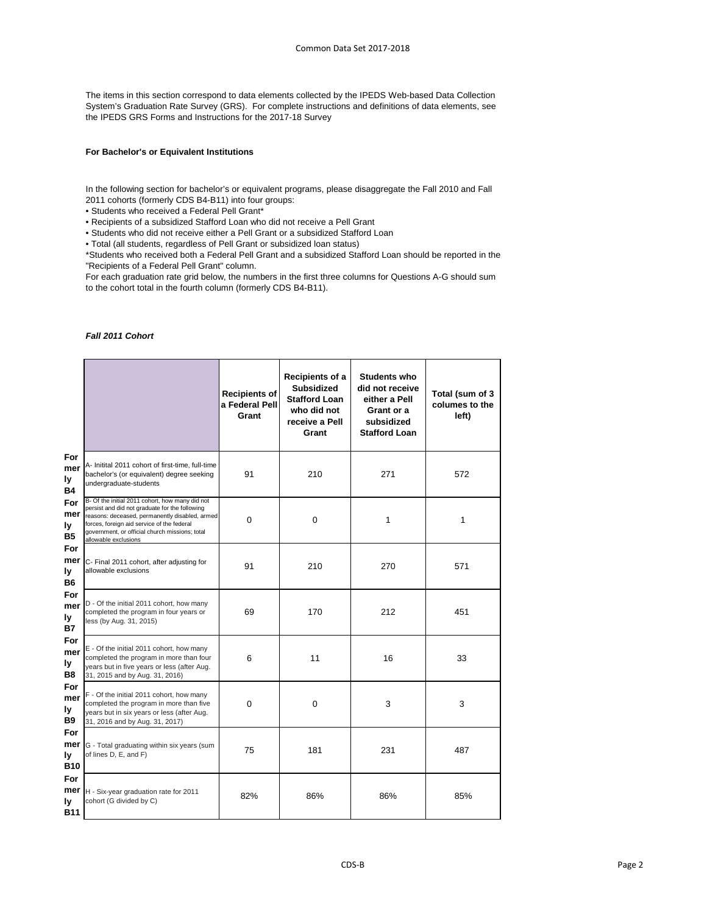The items in this section correspond to data elements collected by the IPEDS Web-based Data Collection System's Graduation Rate Survey (GRS). For complete instructions and definitions of data elements, see the IPEDS GRS Forms and Instructions for the 2017-18 Survey

#### **For Bachelor's or Equivalent Institutions**

In the following section for bachelor's or equivalent programs, please disaggregate the Fall 2010 and Fall 2011 cohorts (formerly CDS B4-B11) into four groups:

• Students who received a Federal Pell Grant\*

• Recipients of a subsidized Stafford Loan who did not receive a Pell Grant

• Students who did not receive either a Pell Grant or a subsidized Stafford Loan

• Total (all students, regardless of Pell Grant or subsidized loan status)

\*Students who received both a Federal Pell Grant and a subsidized Stafford Loan should be reported in the "Recipients of a Federal Pell Grant" column.

For each graduation rate grid below, the numbers in the first three columns for Questions A-G should sum to the cohort total in the fourth column (formerly CDS B4-B11).

#### *Fall 2011 Cohort*

|                                    |                                                                                                                                                                                                                                                                             | <b>Recipients of</b><br>a Federal Pell<br>Grant | <b>Recipients of a</b><br><b>Subsidized</b><br><b>Stafford Loan</b><br>who did not<br>receive a Pell<br>Grant | <b>Students who</b><br>did not receive<br>either a Pell<br>Grant or a<br>subsidized<br><b>Stafford Loan</b> | Total (sum of 3<br>columes to the<br>left) |
|------------------------------------|-----------------------------------------------------------------------------------------------------------------------------------------------------------------------------------------------------------------------------------------------------------------------------|-------------------------------------------------|---------------------------------------------------------------------------------------------------------------|-------------------------------------------------------------------------------------------------------------|--------------------------------------------|
| For<br>mer<br>ly<br><b>B4</b>      | A- Initital 2011 cohort of first-time, full-time<br>bachelor's (or equivalent) degree seeking<br>undergraduate-students                                                                                                                                                     | 91                                              | 210                                                                                                           | 271                                                                                                         | 572                                        |
| For<br>mer<br>ly<br><b>B5</b>      | B- Of the initial 2011 cohort, how many did not<br>persist and did not graduate for the following<br>reasons: deceased, permanently disabled, armed<br>forces, foreign aid service of the federal<br>government, or official church missions; total<br>allowable exclusions | $\mathbf 0$                                     | $\mathbf 0$                                                                                                   | 1                                                                                                           | 1                                          |
| For<br>mer<br>ly<br><b>B6</b>      | C- Final 2011 cohort, after adjusting for<br>allowable exclusions                                                                                                                                                                                                           | 91                                              | 210                                                                                                           | 270                                                                                                         | 571                                        |
| For<br>mer<br>ly<br><b>B7</b>      | D - Of the initial 2011 cohort, how many<br>completed the program in four years or<br>less (by Aug. 31, 2015)                                                                                                                                                               | 69                                              | 170                                                                                                           | 212                                                                                                         | 451                                        |
| For<br>mer<br>ly<br>B <sub>8</sub> | E - Of the initial 2011 cohort, how many<br>completed the program in more than four<br>years but in five years or less (after Aug.<br>31, 2015 and by Aug. 31, 2016)                                                                                                        | 6                                               | 11                                                                                                            | 16                                                                                                          | 33                                         |
| For<br>mer<br>ly<br><b>B9</b>      | F - Of the initial 2011 cohort, how many<br>completed the program in more than five<br>years but in six years or less (after Aug.<br>31, 2016 and by Aug. 31, 2017)                                                                                                         | $\mathbf 0$                                     | 0                                                                                                             | 3                                                                                                           | 3                                          |
| For<br>ly<br><b>B10</b>            | <b>mer</b> G - Total graduating within six years (sum<br>of lines D, E, and F)                                                                                                                                                                                              | 75                                              | 181                                                                                                           | 231                                                                                                         | 487                                        |
| For<br>mer<br>ly<br><b>B11</b>     | H - Six-year graduation rate for 2011<br>cohort (G divided by C)                                                                                                                                                                                                            | 82%                                             | 86%                                                                                                           | 86%                                                                                                         | 85%                                        |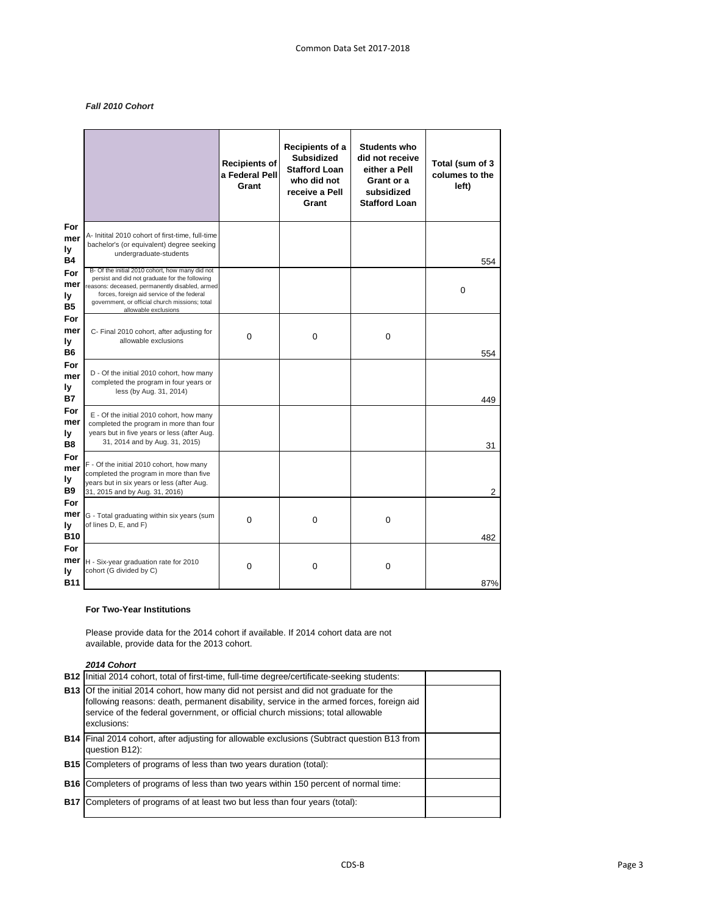# *Fall 2010 Cohort*

|                                    |                                                                                                                                                                                                                                                                             | <b>Recipients of</b><br>a Federal Pell<br>Grant | Recipients of a<br><b>Subsidized</b><br><b>Stafford Loan</b><br>who did not<br>receive a Pell<br>Grant | <b>Students who</b><br>did not receive<br>either a Pell<br>Grant or a<br>subsidized<br><b>Stafford Loan</b> | Total (sum of 3<br>columes to the<br>left) |
|------------------------------------|-----------------------------------------------------------------------------------------------------------------------------------------------------------------------------------------------------------------------------------------------------------------------------|-------------------------------------------------|--------------------------------------------------------------------------------------------------------|-------------------------------------------------------------------------------------------------------------|--------------------------------------------|
| For<br>mer<br>ly<br><b>B4</b>      | A- Initital 2010 cohort of first-time, full-time<br>bachelor's (or equivalent) degree seeking<br>undergraduate-students                                                                                                                                                     |                                                 |                                                                                                        |                                                                                                             | 554                                        |
| For<br>mer<br>ly<br><b>B5</b>      | B- Of the initial 2010 cohort, how many did not<br>persist and did not graduate for the following<br>reasons: deceased, permanently disabled, armed<br>forces, foreign aid service of the federal<br>government, or official church missions; total<br>allowable exclusions |                                                 |                                                                                                        |                                                                                                             | $\mathbf 0$                                |
| For<br>mer<br>ly<br><b>B6</b>      | C- Final 2010 cohort, after adjusting for<br>allowable exclusions                                                                                                                                                                                                           | $\mathbf 0$                                     | $\boldsymbol{0}$                                                                                       | $\mathbf 0$                                                                                                 | 554                                        |
| For<br>mer<br>ly<br><b>B7</b>      | D - Of the initial 2010 cohort, how many<br>completed the program in four years or<br>less (by Aug. 31, 2014)                                                                                                                                                               |                                                 |                                                                                                        |                                                                                                             | 449                                        |
| For<br>mer<br>ly<br>B <sub>8</sub> | E - Of the initial 2010 cohort, how many<br>completed the program in more than four<br>years but in five years or less (after Aug.<br>31, 2014 and by Aug. 31, 2015)                                                                                                        |                                                 |                                                                                                        |                                                                                                             | 31                                         |
| For<br>mer<br>ly<br><b>B9</b>      | F - Of the initial 2010 cohort, how many<br>completed the program in more than five<br>years but in six years or less (after Aug.<br>31, 2015 and by Aug. 31, 2016)                                                                                                         |                                                 |                                                                                                        |                                                                                                             | $\overline{2}$                             |
| For<br>ly<br><b>B10</b>            | <b>mer</b> G - Total graduating within six years (sum<br>of lines D, E, and F)                                                                                                                                                                                              | 0                                               | 0                                                                                                      | 0                                                                                                           | 482                                        |
| For<br>mer<br>ly<br><b>B11</b>     | H - Six-year graduation rate for 2010<br>cohort (G divided by C)                                                                                                                                                                                                            | $\pmb{0}$                                       | $\pmb{0}$                                                                                              | $\pmb{0}$                                                                                                   | 87%                                        |

#### **For Two-Year Institutions**

Please provide data for the 2014 cohort if available. If 2014 cohort data are not available, provide data for the 2013 cohort.

*2014 Cohort*

| <b>B12</b> Initial 2014 cohort, total of first-time, full-time degree/certificate-seeking students:                                                                                                                                                                                        |  |
|--------------------------------------------------------------------------------------------------------------------------------------------------------------------------------------------------------------------------------------------------------------------------------------------|--|
| <b>B13</b> Of the initial 2014 cohort, how many did not persist and did not graduate for the<br>following reasons: death, permanent disability, service in the armed forces, foreign aid<br>service of the federal government, or official church missions; total allowable<br>exclusions: |  |
| <b>B14</b> Final 2014 cohort, after adjusting for allowable exclusions (Subtract question B13 from<br>question B12):                                                                                                                                                                       |  |
| <b>B15</b> Completers of programs of less than two years duration (total):                                                                                                                                                                                                                 |  |
| <b>B16</b> Completers of programs of less than two years within 150 percent of normal time:                                                                                                                                                                                                |  |
| <b>B17</b> Completers of programs of at least two but less than four years (total):                                                                                                                                                                                                        |  |